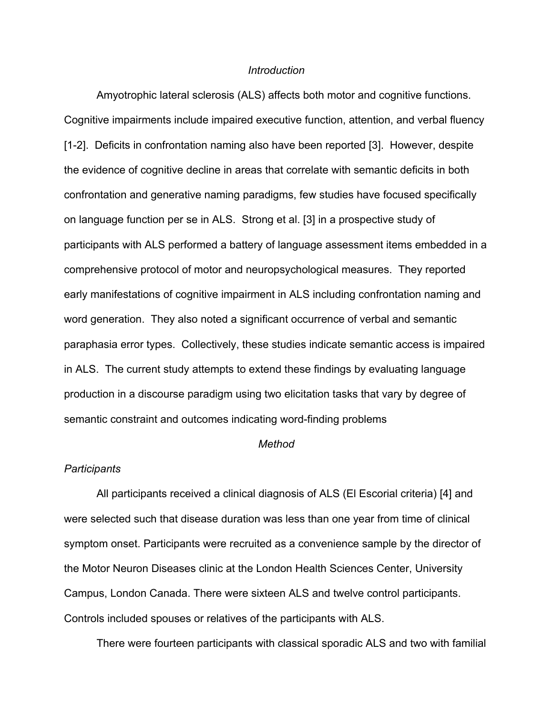# *Introduction*

Amyotrophic lateral sclerosis (ALS) affects both motor and cognitive functions. Cognitive impairments include impaired executive function, attention, and verbal fluency [1-2]. Deficits in confrontation naming also have been reported [3]. However, despite the evidence of cognitive decline in areas that correlate with semantic deficits in both confrontation and generative naming paradigms, few studies have focused specifically on language function per se in ALS. Strong et al. [3] in a prospective study of participants with ALS performed a battery of language assessment items embedded in a comprehensive protocol of motor and neuropsychological measures. They reported early manifestations of cognitive impairment in ALS including confrontation naming and word generation. They also noted a significant occurrence of verbal and semantic paraphasia error types. Collectively, these studies indicate semantic access is impaired in ALS. The current study attempts to extend these findings by evaluating language production in a discourse paradigm using two elicitation tasks that vary by degree of semantic constraint and outcomes indicating word-finding problems

# *Method*

#### *Participants*

All participants received a clinical diagnosis of ALS (El Escorial criteria) [4] and were selected such that disease duration was less than one year from time of clinical symptom onset. Participants were recruited as a convenience sample by the director of the Motor Neuron Diseases clinic at the London Health Sciences Center, University Campus, London Canada. There were sixteen ALS and twelve control participants. Controls included spouses or relatives of the participants with ALS.

There were fourteen participants with classical sporadic ALS and two with familial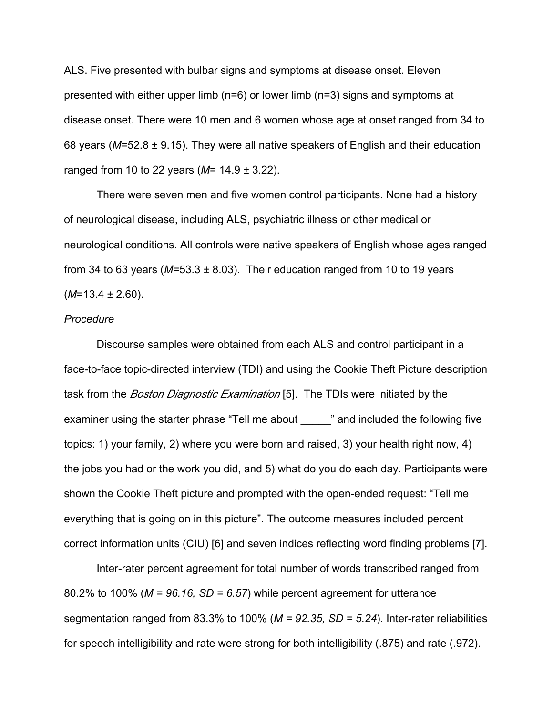ALS. Five presented with bulbar signs and symptoms at disease onset. Eleven presented with either upper limb (n=6) or lower limb (n=3) signs and symptoms at disease onset. There were 10 men and 6 women whose age at onset ranged from 34 to 68 years (*M*=52.8 ± 9.15). They were all native speakers of English and their education ranged from 10 to 22 years (*M*= 14.9 ± 3.22).

There were seven men and five women control participants. None had a history of neurological disease, including ALS, psychiatric illness or other medical or neurological conditions. All controls were native speakers of English whose ages ranged from 34 to 63 years ( $M=53.3 \pm 8.03$ ). Their education ranged from 10 to 19 years (*M*=13.4 ± 2.60).

### *Procedure*

Discourse samples were obtained from each ALS and control participant in a face-to-face topic-directed interview (TDI) and using the Cookie Theft Picture description task from the *Boston Diagnostic Examination* [5]. The TDIs were initiated by the examiner using the starter phrase "Tell me about " and included the following five topics: 1) your family, 2) where you were born and raised, 3) your health right now, 4) the jobs you had or the work you did, and 5) what do you do each day. Participants were shown the Cookie Theft picture and prompted with the open-ended request: "Tell me everything that is going on in this picture". The outcome measures included percent correct information units (CIU) [6] and seven indices reflecting word finding problems [7].

Inter-rater percent agreement for total number of words transcribed ranged from 80.2% to 100% (*M = 96.16, SD = 6.57*) while percent agreement for utterance segmentation ranged from 83.3% to 100% (*M = 92.35, SD = 5.24*). Inter-rater reliabilities for speech intelligibility and rate were strong for both intelligibility (.875) and rate (.972).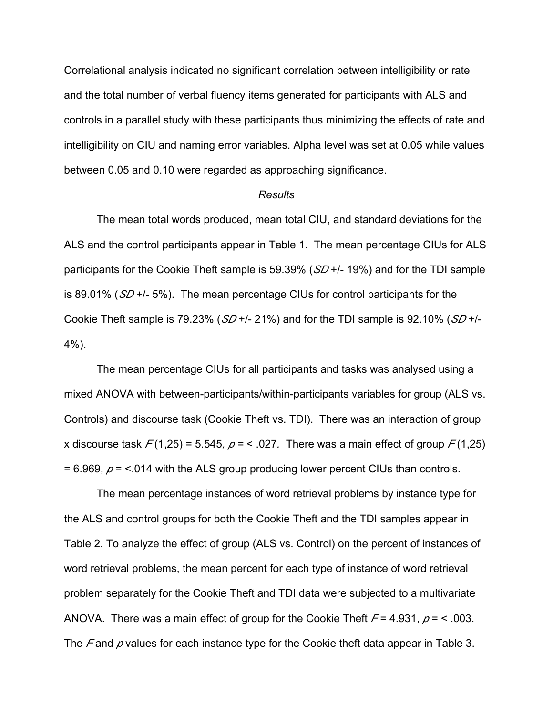Correlational analysis indicated no significant correlation between intelligibility or rate and the total number of verbal fluency items generated for participants with ALS and controls in a parallel study with these participants thus minimizing the effects of rate and intelligibility on CIU and naming error variables. Alpha level was set at 0.05 while values between 0.05 and 0.10 were regarded as approaching significance.

### *Results*

The mean total words produced, mean total CIU, and standard deviations for the ALS and the control participants appear in Table 1. The mean percentage CIUs for ALS participants for the Cookie Theft sample is 59.39% (*SD* +/- 19%) and for the TDI sample is 89.01% (*SD* +/- 5%). The mean percentage CIUs for control participants for the Cookie Theft sample is 79.23% (*SD* +/- 21%) and for the TDI sample is 92.10% (*SD* +/-  $4\%$ ).

The mean percentage CIUs for all participants and tasks was analysed using a mixed ANOVA with between-participants/within-participants variables for group (ALS vs. Controls) and discourse task (Cookie Theft vs. TDI). There was an interaction of group x discourse task  $F(1,25) = 5.545$ ,  $p = 5.027$ . There was a main effect of group  $F(1,25)$  $= 6.969$ ,  $p =$  <.014 with the ALS group producing lower percent CIUs than controls.

The mean percentage instances of word retrieval problems by instance type for the ALS and control groups for both the Cookie Theft and the TDI samples appear in Table 2. To analyze the effect of group (ALS vs. Control) on the percent of instances of word retrieval problems, the mean percent for each type of instance of word retrieval problem separately for the Cookie Theft and TDI data were subjected to a multivariate ANOVA. There was a main effect of group for the Cookie Theft *F* = 4.931, *p* = < .003. The *F* and *p* values for each instance type for the Cookie theft data appear in Table 3.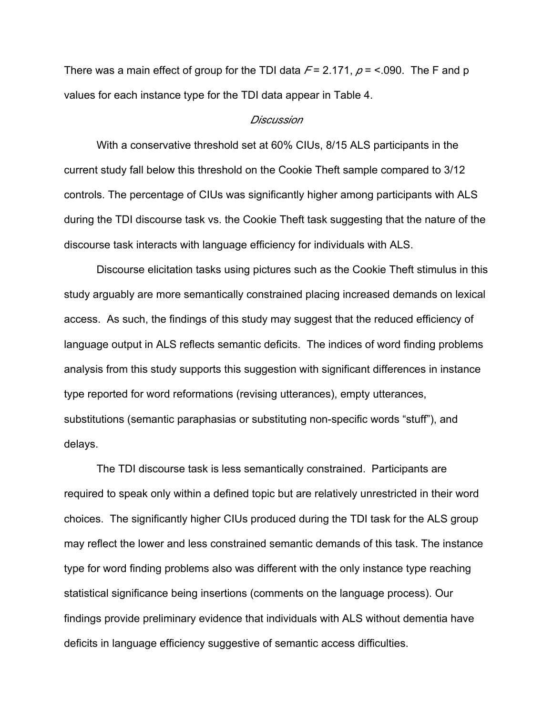There was a main effect of group for the TDI data  $F = 2.171$ ,  $p = 5.090$ . The F and p values for each instance type for the TDI data appear in Table 4.

# *Discussion*

With a conservative threshold set at 60% CIUs, 8/15 ALS participants in the current study fall below this threshold on the Cookie Theft sample compared to 3/12 controls. The percentage of CIUs was significantly higher among participants with ALS during the TDI discourse task vs. the Cookie Theft task suggesting that the nature of the discourse task interacts with language efficiency for individuals with ALS.

Discourse elicitation tasks using pictures such as the Cookie Theft stimulus in this study arguably are more semantically constrained placing increased demands on lexical access. As such, the findings of this study may suggest that the reduced efficiency of language output in ALS reflects semantic deficits. The indices of word finding problems analysis from this study supports this suggestion with significant differences in instance type reported for word reformations (revising utterances), empty utterances, substitutions (semantic paraphasias or substituting non-specific words "stuff"), and delays.

The TDI discourse task is less semantically constrained. Participants are required to speak only within a defined topic but are relatively unrestricted in their word choices. The significantly higher CIUs produced during the TDI task for the ALS group may reflect the lower and less constrained semantic demands of this task. The instance type for word finding problems also was different with the only instance type reaching statistical significance being insertions (comments on the language process). Our findings provide preliminary evidence that individuals with ALS without dementia have deficits in language efficiency suggestive of semantic access difficulties.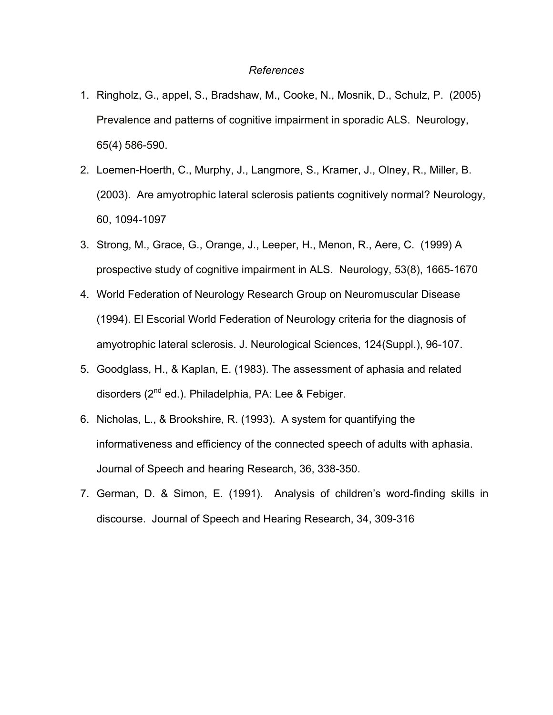# *References*

- 1. Ringholz, G., appel, S., Bradshaw, M., Cooke, N., Mosnik, D., Schulz, P. (2005) Prevalence and patterns of cognitive impairment in sporadic ALS. Neurology, 65(4) 586-590.
- 2. Loemen-Hoerth, C., Murphy, J., Langmore, S., Kramer, J., Olney, R., Miller, B. (2003). Are amyotrophic lateral sclerosis patients cognitively normal? Neurology, 60, 1094-1097
- 3. Strong, M., Grace, G., Orange, J., Leeper, H., Menon, R., Aere, C. (1999) A prospective study of cognitive impairment in ALS. Neurology, 53(8), 1665-1670
- 4. World Federation of Neurology Research Group on Neuromuscular Disease (1994). El Escorial World Federation of Neurology criteria for the diagnosis of amyotrophic lateral sclerosis. J. Neurological Sciences, 124(Suppl.), 96-107.
- 5. Goodglass, H., & Kaplan, E. (1983). The assessment of aphasia and related disorders (2<sup>nd</sup> ed.). Philadelphia, PA: Lee & Febiger.
- 6. Nicholas, L., & Brookshire, R. (1993). A system for quantifying the informativeness and efficiency of the connected speech of adults with aphasia. Journal of Speech and hearing Research, 36, 338-350.
- 7. German, D. & Simon, E. (1991). Analysis of children's word-finding skills in discourse. Journal of Speech and Hearing Research, 34, 309-316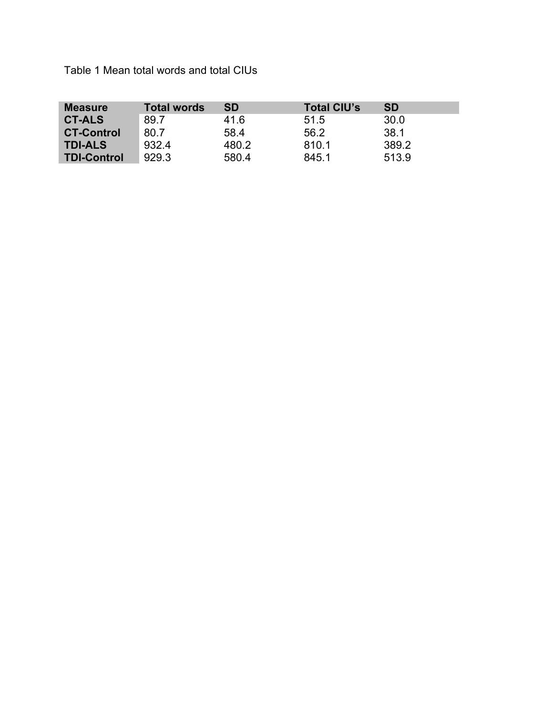Table 1 Mean total words and total CIUs

| <b>Measure</b>     | <b>Total words</b> | <b>SD</b> | <b>Total CIU's</b> | <b>SD</b> |
|--------------------|--------------------|-----------|--------------------|-----------|
| <b>CT-ALS</b>      | 89.7               | 41.6      | 51.5               | 30.0      |
| <b>CT-Control</b>  | 80.7               | 58.4      | 56.2               | 38.1      |
| <b>TDI-ALS</b>     | 932.4              | 480.2     | 810.1              | 389.2     |
| <b>TDI-Control</b> | 929.3              | 580.4     | 845.1              | 513.9     |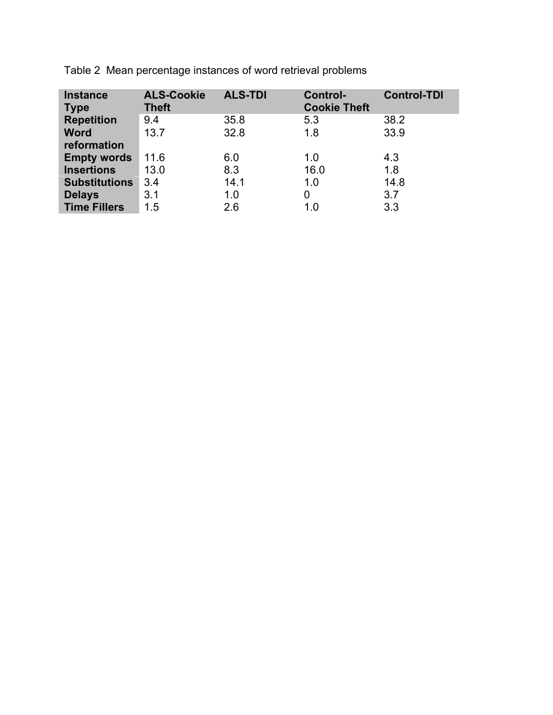| <b>Instance</b><br><b>Type</b> | <b>ALS-Cookie</b><br><b>Theft</b> | <b>ALS-TDI</b> | <b>Control-</b><br><b>Cookie Theft</b> | <b>Control-TDI</b> |
|--------------------------------|-----------------------------------|----------------|----------------------------------------|--------------------|
| <b>Repetition</b>              | 9.4                               | 35.8           | 5.3                                    | 38.2               |
| <b>Word</b>                    | 13.7                              | 32.8           | 1.8                                    | 33.9               |
| reformation                    |                                   |                |                                        |                    |
| <b>Empty words</b>             | 11.6                              | 6.0            | 1.0                                    | 4.3                |
| <b>Insertions</b>              | 13.0                              | 8.3            | 16.0                                   | 1.8                |
| <b>Substitutions</b>           | 3.4                               | 14.1           | 1.0                                    | 14.8               |
| <b>Delays</b>                  | 3.1                               | 1.0            | 0                                      | 3.7                |
| <b>Time Fillers</b>            | 1.5                               | 2.6            | 1.0                                    | 3.3                |

Table 2 Mean percentage instances of word retrieval problems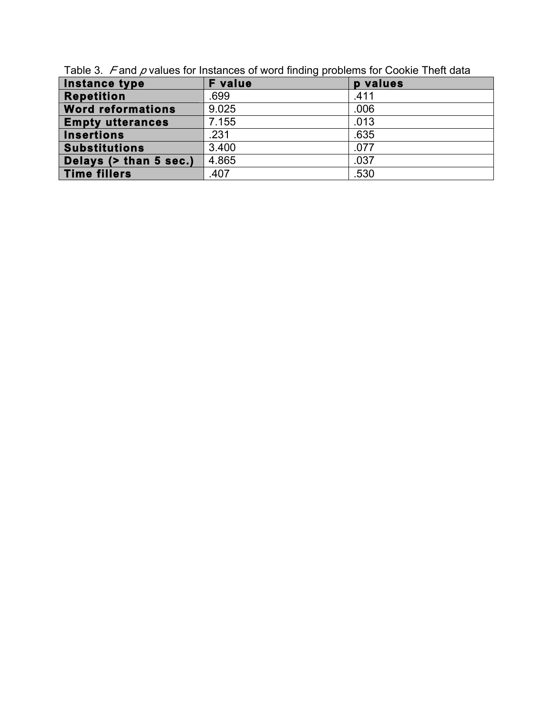| Instance type            | ັ່<br><b>F</b> value | p values |
|--------------------------|----------------------|----------|
| <b>Repetition</b>        | .699                 | .411     |
| <b>Word reformations</b> | 9.025                | .006     |
| <b>Empty utterances</b>  | 7.155                | .013     |
| <b>Insertions</b>        | .231                 | .635     |
| <b>Substitutions</b>     | 3.400                | .077     |
| Delays (> than 5 sec.)   | 4.865                | .037     |
| <b>Time fillers</b>      | .407                 | .530     |

Table 3. *F* and *p* values for Instances of word finding problems for Cookie Theft data